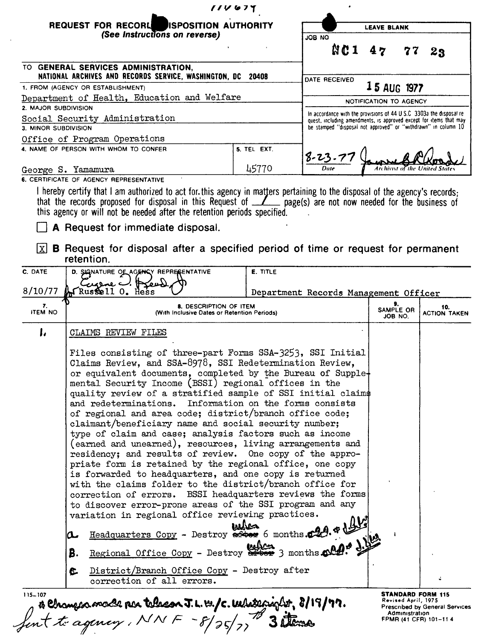|                      |           | <b>REQUEST FOR RECORL</b><br><b>ISPOSITION AUTHORITY</b>                                                                                                                                                                                                                                                                       | <b>LEAVE BLANK</b>                                                                                                                                                                                                                                                                                                                                                                                                                                                                                                                                                                                                                                                                                                                                                                                                                                                                                                                                                                                                                                                                                        |                                                                                                                                             |                            |                                                                   |  |  |
|----------------------|-----------|--------------------------------------------------------------------------------------------------------------------------------------------------------------------------------------------------------------------------------------------------------------------------------------------------------------------------------|-----------------------------------------------------------------------------------------------------------------------------------------------------------------------------------------------------------------------------------------------------------------------------------------------------------------------------------------------------------------------------------------------------------------------------------------------------------------------------------------------------------------------------------------------------------------------------------------------------------------------------------------------------------------------------------------------------------------------------------------------------------------------------------------------------------------------------------------------------------------------------------------------------------------------------------------------------------------------------------------------------------------------------------------------------------------------------------------------------------|---------------------------------------------------------------------------------------------------------------------------------------------|----------------------------|-------------------------------------------------------------------|--|--|
|                      |           | (See Instructions on reverse)                                                                                                                                                                                                                                                                                                  |                                                                                                                                                                                                                                                                                                                                                                                                                                                                                                                                                                                                                                                                                                                                                                                                                                                                                                                                                                                                                                                                                                           | ON BOL                                                                                                                                      |                            |                                                                   |  |  |
|                      |           |                                                                                                                                                                                                                                                                                                                                |                                                                                                                                                                                                                                                                                                                                                                                                                                                                                                                                                                                                                                                                                                                                                                                                                                                                                                                                                                                                                                                                                                           | <b>NC1</b>                                                                                                                                  | 47                         | 23                                                                |  |  |
|                      |           | TO GENERAL SERVICES ADMINISTRATION,<br>NATIONAL ARCHIVES AND RECORDS SERVICE, WASHINGTON, DC 20408                                                                                                                                                                                                                             |                                                                                                                                                                                                                                                                                                                                                                                                                                                                                                                                                                                                                                                                                                                                                                                                                                                                                                                                                                                                                                                                                                           | DATE RECEIVED                                                                                                                               |                            |                                                                   |  |  |
|                      |           | 1. FROM (AGENCY OR ESTABLISHMENT)                                                                                                                                                                                                                                                                                              |                                                                                                                                                                                                                                                                                                                                                                                                                                                                                                                                                                                                                                                                                                                                                                                                                                                                                                                                                                                                                                                                                                           |                                                                                                                                             | 15 AUG 1977                |                                                                   |  |  |
| 2. MAJOR SUBDIVISION |           | Department of Health, Education and Welfare                                                                                                                                                                                                                                                                                    |                                                                                                                                                                                                                                                                                                                                                                                                                                                                                                                                                                                                                                                                                                                                                                                                                                                                                                                                                                                                                                                                                                           | NOTIFICATION TO AGENCY                                                                                                                      |                            |                                                                   |  |  |
|                      |           | Social Security Administration                                                                                                                                                                                                                                                                                                 |                                                                                                                                                                                                                                                                                                                                                                                                                                                                                                                                                                                                                                                                                                                                                                                                                                                                                                                                                                                                                                                                                                           | In accordance with the provisions of 44 U.S.C. 3303a the disposal re-<br>quest, including amendments, is approved except for items that may |                            |                                                                   |  |  |
| 3. MINOR SUBDIVISION |           |                                                                                                                                                                                                                                                                                                                                |                                                                                                                                                                                                                                                                                                                                                                                                                                                                                                                                                                                                                                                                                                                                                                                                                                                                                                                                                                                                                                                                                                           | be stamped "disposal not approved" or "withdrawn" in column 10                                                                              |                            |                                                                   |  |  |
|                      |           | Office of Program Operations                                                                                                                                                                                                                                                                                                   |                                                                                                                                                                                                                                                                                                                                                                                                                                                                                                                                                                                                                                                                                                                                                                                                                                                                                                                                                                                                                                                                                                           |                                                                                                                                             |                            |                                                                   |  |  |
|                      |           | 4. NAME OF PERSON WITH WHOM TO CONFER                                                                                                                                                                                                                                                                                          | 5. TEL EXT.                                                                                                                                                                                                                                                                                                                                                                                                                                                                                                                                                                                                                                                                                                                                                                                                                                                                                                                                                                                                                                                                                               | $8 - 23 - 77$                                                                                                                               |                            |                                                                   |  |  |
| George S. Yamamura   |           |                                                                                                                                                                                                                                                                                                                                | 45770                                                                                                                                                                                                                                                                                                                                                                                                                                                                                                                                                                                                                                                                                                                                                                                                                                                                                                                                                                                                                                                                                                     |                                                                                                                                             |                            |                                                                   |  |  |
|                      |           | 6. CERTIFICATE OF AGENCY REPRESENTATIVE                                                                                                                                                                                                                                                                                        |                                                                                                                                                                                                                                                                                                                                                                                                                                                                                                                                                                                                                                                                                                                                                                                                                                                                                                                                                                                                                                                                                                           |                                                                                                                                             |                            |                                                                   |  |  |
| lxl                  |           | that the records proposed for disposal in this Request of _________ page(s) are not now needed for the business of<br>this agency or will not be needed after the retention periods specified.<br>A Request for immediate disposal.<br><b>B</b> Request for disposal after a specified period of time or request for permanent |                                                                                                                                                                                                                                                                                                                                                                                                                                                                                                                                                                                                                                                                                                                                                                                                                                                                                                                                                                                                                                                                                                           |                                                                                                                                             |                            |                                                                   |  |  |
|                      |           | retention.                                                                                                                                                                                                                                                                                                                     |                                                                                                                                                                                                                                                                                                                                                                                                                                                                                                                                                                                                                                                                                                                                                                                                                                                                                                                                                                                                                                                                                                           |                                                                                                                                             |                            |                                                                   |  |  |
| C. DATE              |           | D. SIGNATURE OF AGENCY REPRESENTATIVE<br>$C$ uppe $C$ $\sharp$                                                                                                                                                                                                                                                                 | <b>E. TITLE</b>                                                                                                                                                                                                                                                                                                                                                                                                                                                                                                                                                                                                                                                                                                                                                                                                                                                                                                                                                                                                                                                                                           |                                                                                                                                             |                            |                                                                   |  |  |
| 8/10/77              |           | Russell 0. Hess                                                                                                                                                                                                                                                                                                                |                                                                                                                                                                                                                                                                                                                                                                                                                                                                                                                                                                                                                                                                                                                                                                                                                                                                                                                                                                                                                                                                                                           | Department Records Management Officer                                                                                                       |                            |                                                                   |  |  |
| 7.<br><b>ITEM NO</b> |           | 8. DESCRIPTION OF ITEM<br>(With Inclusive Dates or Retention Periods)                                                                                                                                                                                                                                                          |                                                                                                                                                                                                                                                                                                                                                                                                                                                                                                                                                                                                                                                                                                                                                                                                                                                                                                                                                                                                                                                                                                           |                                                                                                                                             | 9.<br>SAMPLE OR<br>JOB NO. | 10.<br><b>ACTION TAKEN</b>                                        |  |  |
| ι.                   |           | CLAIMS REVIEW FILES                                                                                                                                                                                                                                                                                                            |                                                                                                                                                                                                                                                                                                                                                                                                                                                                                                                                                                                                                                                                                                                                                                                                                                                                                                                                                                                                                                                                                                           |                                                                                                                                             |                            |                                                                   |  |  |
|                      | مكا<br>В. |                                                                                                                                                                                                                                                                                                                                | Files consisting of three-part Forms SSA-3253, SSI Initial<br>Claims Review, and SSA-8978, SSI Redetermination Review,<br>or equivalent documents, completed by the Bureau of Supple-<br>mental Security Income (BSSI) regional offices in the<br>quality review of a stratified sample of SSI initial claims<br>and redeterminations. Information on the forms consists<br>of regional and area code; district/branch office code;<br>claimant/beneficiary name and social security number;<br>type of claim and case; analysis factors such as income<br>(earned and unearned), resources, living arrangements and<br>residency; and results of review. One copy of the appro-<br>priate form is retained by the regional office, one copy<br>is forwarded to headquarters, and one copy is returned<br>with the claims folder to the district/branch office for<br>correction of errors. BSSI headquarters reviews the forms<br>to discover error-prone areas of the SSI program and any<br>variation in regional office reviewing practices.<br>Headquarters Copy - Destroy set 6 months. 229. * 1944 |                                                                                                                                             |                            |                                                                   |  |  |
|                      | C.        | District/Branch Office Copy - Destroy after                                                                                                                                                                                                                                                                                    |                                                                                                                                                                                                                                                                                                                                                                                                                                                                                                                                                                                                                                                                                                                                                                                                                                                                                                                                                                                                                                                                                                           |                                                                                                                                             |                            |                                                                   |  |  |
|                      |           | correction of all errors.                                                                                                                                                                                                                                                                                                      |                                                                                                                                                                                                                                                                                                                                                                                                                                                                                                                                                                                                                                                                                                                                                                                                                                                                                                                                                                                                                                                                                                           | 4                                                                                                                                           |                            |                                                                   |  |  |
| 115-107              |           | & Changers made par telecon J.L. W.J.C. Whetenight, 8/19/77.<br>fent to agency, NNF -8/25/77 3 theme                                                                                                                                                                                                                           |                                                                                                                                                                                                                                                                                                                                                                                                                                                                                                                                                                                                                                                                                                                                                                                                                                                                                                                                                                                                                                                                                                           |                                                                                                                                             | Revised April, 1975        | <b>STANDARD FORM 115</b><br><b>Prescribed by General Services</b> |  |  |